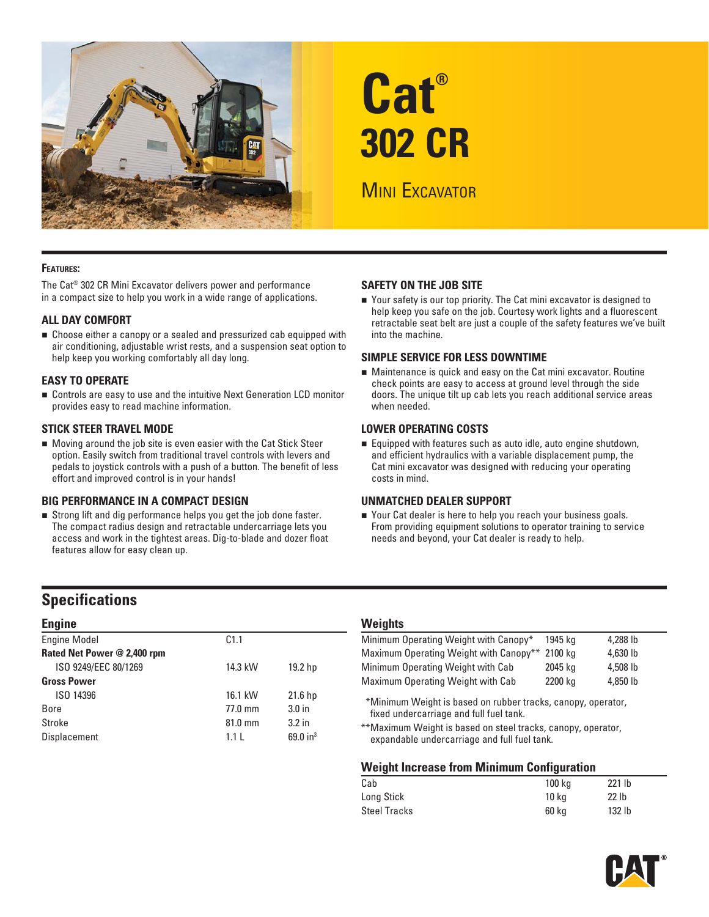

# **Cat® 302 CR**

# **MINI EXCAVATOR**

### **FEATURES:**

The Cat® 302 CR Mini Excavator delivers power and performance in a compact size to help you work in a wide range of applications.

### **ALL DAY COMFORT**

 Choose either a canopy or a sealed and pressurized cab equipped with air conditioning, adjustable wrist rests, and a suspension seat option to help keep you working comfortably all day long.

### **EASY TO OPERATE**

 Controls are easy to use and the intuitive Next Generation LCD monitor provides easy to read machine information.

### **STICK STEER TRAVEL MODE**

 Moving around the job site is even easier with the Cat Stick Steer option. Easily switch from traditional travel controls with levers and pedals to joystick controls with a push of a button. The benefit of less effort and improved control is in your hands!

### **BIG PERFORMANCE IN A COMPACT DESIGN**

 Strong lift and dig performance helps you get the job done faster. The compact radius design and retractable undercarriage lets you access and work in the tightest areas. Dig-to-blade and dozer float features allow for easy clean up.

### **SAFETY ON THE JOB SITE**

 Your safety is our top priority. The Cat mini excavator is designed to help keep you safe on the job. Courtesy work lights and a fluorescent retractable seat belt are just a couple of the safety features we've built into the machine.

### **SIMPLE SERVICE FOR LESS DOWNTIME**

 Maintenance is quick and easy on the Cat mini excavator. Routine check points are easy to access at ground level through the side doors. The unique tilt up cab lets you reach additional service areas when needed.

### **LOWER OPERATING COSTS**

Equipped with features such as auto idle, auto engine shutdown, and efficient hydraulics with a variable displacement pump, the Cat mini excavator was designed with reducing your operating costs in mind.

### **UNMATCHED DEALER SUPPORT**

■ Your Cat dealer is here to help you reach your business goals. From providing equipment solutions to operator training to service needs and beyond, your Cat dealer is ready to help.

### **Specifications**

| <b>Engine</b>               |                   |                    | <b>Weights</b> |
|-----------------------------|-------------------|--------------------|----------------|
| <b>Engine Model</b>         | C1.1              |                    | Minimum 0      |
| Rated Net Power @ 2,400 rpm |                   |                    | Maximum (      |
| ISO 9249/EEC 80/1269        | 14.3 kW           | 19.2 hp            | Minimum C      |
| <b>Gross Power</b>          |                   |                    | Maximum (      |
| ISO 14396                   | 16.1 kW           | 21.6 <sub>hp</sub> | *Minimum       |
| <b>Bore</b>                 | $77.0 \text{ mm}$ | 3.0 <sub>in</sub>  | fixed unc      |
| Stroke                      | 81.0 mm           | 3.2 <sub>in</sub>  | **Maximur      |
| Displacement                | 1.1L              | 69.0 $in^3$        | expanda        |

| Minimum Operating Weight with Canopy*  | 1945 ka | 4.288 lb |  |
|----------------------------------------|---------|----------|--|
| Maximum Operating Weight with Canopy** | 2100 ka | 4.630 lb |  |
| Minimum Operating Weight with Cab      | 2045 ka | 4.508 lb |  |
| Maximum Operating Weight with Cab      | 2200 kg | 4.850 lb |  |
|                                        |         |          |  |

\* \*Minimum Weight is based on rubber tracks, canopy, operator, fixed undercarriage and full fuel tank.

\*\* Maximum Weight is based on steel tracks, canopy, operator, expandable undercarriage and full fuel tank.

### **Weight Increase from Minimum Configuration**

| Cab                 | 100 kg | $221$ lb          |
|---------------------|--------|-------------------|
| Long Stick          | 10 ka  | 22 <sub>1b</sub>  |
| <b>Steel Tracks</b> | 60 ka  | 132 <sub>lb</sub> |

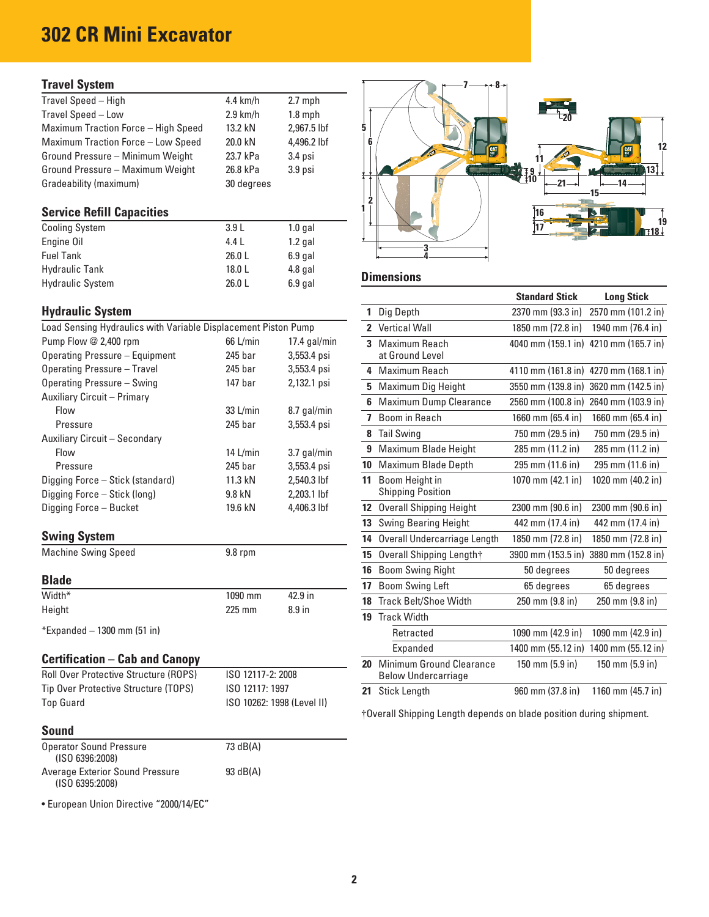# **302 CR Mini Excavator**

### **Travel System**

| Travel Speed - High<br>4.4 $km/h$<br>$2.7$ mph<br>Travel Speed - Low<br>$2.9$ km/h<br>$1.8$ mph<br>Maximum Traction Force - High Speed<br>2,967.5 lbf<br>13.2 kN<br><b>Maximum Traction Force - Low Speed</b><br>20.0 kN<br>4,496.2 lbf<br>Ground Pressure - Minimum Weight<br>23.7 kPa<br>3.4 psi<br>Ground Pressure - Maximum Weight<br>3.9 <sub>psi</sub><br>26.8 kPa<br>Gradeability (maximum)<br>30 degrees |  |  |  |  |       |
|------------------------------------------------------------------------------------------------------------------------------------------------------------------------------------------------------------------------------------------------------------------------------------------------------------------------------------------------------------------------------------------------------------------|--|--|--|--|-------|
|                                                                                                                                                                                                                                                                                                                                                                                                                  |  |  |  |  |       |
|                                                                                                                                                                                                                                                                                                                                                                                                                  |  |  |  |  | $-20$ |
|                                                                                                                                                                                                                                                                                                                                                                                                                  |  |  |  |  |       |
|                                                                                                                                                                                                                                                                                                                                                                                                                  |  |  |  |  |       |
|                                                                                                                                                                                                                                                                                                                                                                                                                  |  |  |  |  |       |
|                                                                                                                                                                                                                                                                                                                                                                                                                  |  |  |  |  |       |
|                                                                                                                                                                                                                                                                                                                                                                                                                  |  |  |  |  |       |

| <b>Cooling System</b>   | 3.9L   | 1.0 gal   |                   |
|-------------------------|--------|-----------|-------------------|
| Engine Oil              | 4.4 L  | 1.2 gal   |                   |
| <b>Fuel Tank</b>        | 26.0L  | $6.9$ gal |                   |
| <b>Hydraulic Tank</b>   | 18.0 L | $4.8$ gal |                   |
| <b>Hydraulic System</b> | 26.0L  | $6.9$ gal | <b>Dimensions</b> |

### **Hydraulic System**

| Load Sensing Hydraulics with Variable Displacement Piston Pump |                    |                | 2 Vertical Wall          |
|----------------------------------------------------------------|--------------------|----------------|--------------------------|
| Pump Flow @ 2,400 rpm                                          | 66 L/min           | $17.4$ gal/min | 3 Maximum Reach          |
| Operating Pressure - Equipment                                 | 245 bar            | 3,553.4 psi    | at Ground Level          |
| Operating Pressure - Travel                                    | 245 bar            | 3,553.4 psi    | 4 Maximum Reach          |
| Operating Pressure - Swing                                     | 147 <sub>bar</sub> | 2,132.1 psi    | 5 Maximum Dig Hei        |
| Auxiliary Circuit - Primary                                    |                    |                | 6 Maximum Dump C         |
| <b>Flow</b>                                                    | 33 L/min           | 8.7 gal/min    | 7 Boom in Reach          |
| Pressure                                                       | 245 bar            | 3,553.4 psi    |                          |
| Auxiliary Circuit - Secondary                                  |                    |                | 8 Tail Swing             |
| <b>Flow</b>                                                    | 14 $L/min$         | 3.7 gal/min    | 9 Maximum Blade H        |
| Pressure                                                       | 245 bar            | 3,553.4 psi    | 10 Maximum Blade D       |
| Digging Force – Stick (standard)                               | 11.3 kN            | 2.540.3 lbf    | 11 Boom Height in        |
| Digging Force - Stick (long)                                   | 9.8 kN             | $2.203.1$ lbf  | <b>Shipping Position</b> |
| Digging Force - Bucket                                         | 19.6 kN            | 4,406.3 lbf    | 12 Overall Shipping H    |
|                                                                |                    |                | 13 Swing Rearing He      |

# **Swing System 14** Overall Undercarriage Length 1850 mm (72.8 in) 1850 mm (72.8 in)

| ____   |         |         | BOOM SWING LETT       | pp dedrees      | <b>b</b> degrees |
|--------|---------|---------|-----------------------|-----------------|------------------|
|        |         |         |                       |                 |                  |
| Width* | 1090 mm | 42.9 in | Track Belt/Shoe Width | 250 mm (9.8 in) | 250 mm (9.8 in)  |
| Height | 225 mm  |         |                       |                 |                  |
|        |         | 8.9 in  | Track Width           |                 |                  |

### **Certification – Cab and Canopy**

| <b>Roll Over Protective Structure (ROPS)</b> | ISO 12117-2: 2008          | Below Undercarriage |                  |                   |
|----------------------------------------------|----------------------------|---------------------|------------------|-------------------|
| Tip Over Protective Structure (TOPS)         | ISO 12117: 1997            | 21 Stick Length     | 960 mm (37.8 in) | 1160 mm (45.7 in) |
| Top Guard                                    | ISO 10262: 1998 (Level II) |                     |                  |                   |

### **Sound**

| <b>Operator Sound Pressure</b><br>(ISO 6396:2008)  | 73 dB(A) |
|----------------------------------------------------|----------|
| Average Exterior Sound Pressure<br>(ISO 6395:2008) | 93 dB(A) |

• European Union Directive "2000/14/EC"



|                                                                |                       |                            |                  |                                | <b>Standard Stick</b> |                                       |
|----------------------------------------------------------------|-----------------------|----------------------------|------------------|--------------------------------|-----------------------|---------------------------------------|
|                                                                |                       |                            |                  |                                |                       | <b>Long Stick</b>                     |
| <b>Hydraulic System</b>                                        |                       |                            | $\mathbf{1}$     | Dig Depth                      | 2370 mm (93.3 in)     | 2570 mm (101.2 in)                    |
| Load Sensing Hydraulics with Variable Displacement Piston Pump |                       |                            |                  | 2 Vertical Wall                | 1850 mm (72.8 in)     | 1940 mm (76.4 in)                     |
| Pump Flow @ 2,400 rpm                                          | 66 L/min              | $17.4$ gal/min             |                  | 3 Maximum Reach                |                       | 4040 mm (159.1 in) 4210 mm (165.7 in) |
| <b>Operating Pressure - Equipment</b>                          | 245 bar               | 3,553.4 psi                |                  | at Ground Level                |                       |                                       |
| <b>Operating Pressure - Travel</b>                             | 245 bar               | 3,553.4 psi                |                  | 4 Maximum Reach                |                       | 4110 mm (161.8 in) 4270 mm (168.1 in) |
| Operating Pressure - Swing                                     | 147 bar               | 2,132.1 psi                |                  | 5 Maximum Dig Height           |                       | 3550 mm (139.8 in) 3620 mm (142.5 in) |
| <b>Auxiliary Circuit - Primary</b>                             |                       |                            |                  | 6 Maximum Dump Clearance       |                       | 2560 mm (100.8 in) 2640 mm (103.9 in) |
| Flow                                                           | 33 L/min              | 8.7 gal/min                |                  | 7 Boom in Reach                | 1660 mm (65.4 in)     | 1660 mm (65.4 in)                     |
| Pressure                                                       | 245 bar               | 3,553.4 psi                |                  | 8 Tail Swing                   | 750 mm (29.5 in)      | 750 mm (29.5 in)                      |
| Auxiliary Circuit - Secondary<br>Flow                          |                       |                            |                  | 9 Maximum Blade Height         | 285 mm (11.2 in)      | 285 mm (11.2 in)                      |
| Pressure                                                       | 14 $L/min$<br>245 bar | 3.7 gal/min<br>3,553.4 psi |                  | 10 Maximum Blade Depth         | 295 mm (11.6 in)      | 295 mm (11.6 in)                      |
| Digging Force - Stick (standard)                               | 11.3 kN               | 2,540.3 lbf                | 11               | Boom Height in                 | 1070 mm (42.1 in)     | 1020 mm (40.2 in)                     |
| Digging Force - Stick (long)                                   | 9.8 kN                | 2,203.1 lbf                |                  | <b>Shipping Position</b>       |                       |                                       |
| Digging Force - Bucket                                         | 19.6 kN               | 4,406.3 lbf                | 12 <sup>12</sup> | <b>Overall Shipping Height</b> | 2300 mm (90.6 in)     | 2300 mm (90.6 in)                     |
|                                                                |                       |                            |                  | <b>13</b> Swing Bearing Height | 442 mm (17.4 in)      | 442 mm (17.4 in)                      |
| <b>Swing System</b>                                            |                       |                            | 14               | Overall Undercarriage Length   | 1850 mm (72.8 in)     | 1850 mm (72.8 in)                     |
| <b>Machine Swing Speed</b>                                     | $9.8$ rpm             |                            |                  | 15 Overall Shipping Length†    |                       | 3900 mm (153.5 in) 3880 mm (152.8 in) |
|                                                                |                       |                            | 16               | <b>Boom Swing Right</b>        | 50 degrees            | 50 degrees                            |
| <b>Blade</b>                                                   |                       |                            | 17               | <b>Boom Swing Left</b>         | 65 degrees            | 65 degrees                            |
| Width*                                                         | 1090 mm               | 42.9 in                    |                  | 18 Track Belt/Shoe Width       | 250 mm (9.8 in)       | 250 mm (9.8 in)                       |
| Height                                                         | 225 mm                | 8.9 in                     |                  | 19 Track Width                 |                       |                                       |
| *Expanded - 1300 mm (51 in)                                    |                       |                            |                  | Retracted                      | 1090 mm (42.9 in)     | 1090 mm (42.9 in)                     |
|                                                                |                       |                            |                  | Expanded                       |                       | 1400 mm (55.12 in) 1400 mm (55.12 in) |
| <b>Certification – Cab and Canopy</b>                          |                       |                            | 20               | Minimum Ground Clearance       | 150 mm (5.9 in)       | $150 \text{ mm}$ (5.9 in)             |
| Roll Over Protective Structure (ROPS)                          | ISO 12117-2: 2008     |                            |                  | <b>Below Undercarriage</b>     |                       |                                       |
| Tip Over Protective Structure (TOPS)                           | ISO 12117: 1997       |                            | 21               | <b>Stick Lenath</b>            | 960 mm (37.8 in)      | 1160 mm (45.7 in)                     |

† Overall Shipping Length depends on blade position during shipment.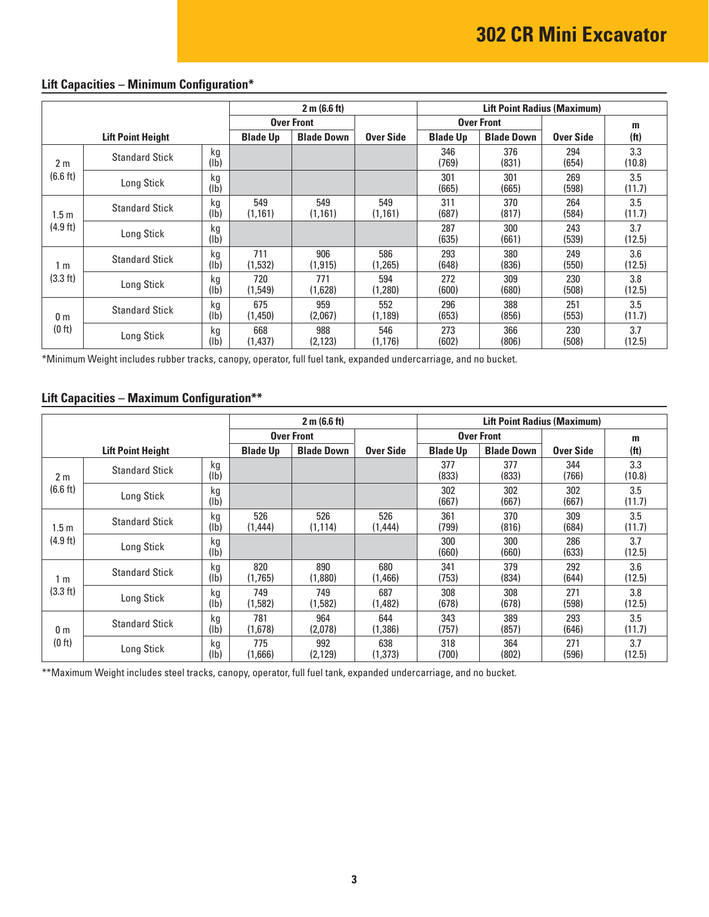|                  |                          | 2 m (6.6 ft) |                 |                   | <b>Lift Point Radius (Maximum)</b> |                 |                   |              |                   |
|------------------|--------------------------|--------------|-----------------|-------------------|------------------------------------|-----------------|-------------------|--------------|-------------------|
|                  |                          |              |                 | <b>Over Front</b> |                                    |                 | <b>Over Front</b> |              | m                 |
|                  | <b>Lift Point Height</b> |              | <b>Blade Up</b> | <b>Blade Down</b> | Over Side                          | <b>Blade Up</b> | <b>Blade Down</b> | Over Side    | (f <sub>t</sub> ) |
| 2 <sub>m</sub>   | <b>Standard Stick</b>    | kg<br>(lb)   |                 |                   |                                    | 346<br>(769)    | 376<br>(831)      | 294<br>(654) | 3.3<br>(10.8)     |
| (6.6 ft)         | Long Stick               | kg<br>(lb)   |                 |                   |                                    | 301<br>(665)    | 301<br>(665)      | 269<br>(598) | 3.5<br>(11.7)     |
| 1.5 <sub>m</sub> | <b>Standard Stick</b>    | kg<br>(lb)   | 549<br>(1, 161) | 549<br>(1, 161)   | 549<br>(1, 161)                    | 311<br>(687)    | 370<br>(817)      | 264<br>(584) | 3.5<br>(11.7)     |
| (4.9 ft)         | Long Stick               | kg<br>(1b)   |                 |                   |                                    | 287<br>(635)    | 300<br>(661)      | 243<br>(539) | 3.7<br>(12.5)     |
| 1 m              | <b>Standard Stick</b>    | kg<br>(lb)   | 711<br>(1,532)  | 906<br>(1, 915)   | 586<br>(1,265)                     | 293<br>(648)    | 380<br>(836)      | 249<br>(550) | 3.6<br>(12.5)     |
| (3.3 ft)         | Long Stick               | kg<br>(lb)   | 720<br>(1,549)  | 771<br>(1,628)    | 594<br>(1,280)                     | 272<br>(600)    | 309<br>(680)      | 230<br>(508) | 3.8<br>(12.5)     |
| 0 <sub>m</sub>   | <b>Standard Stick</b>    | kg<br>(lb)   | 675<br>(1,450)  | 959<br>(2,067)    | 552<br>(1, 189)                    | 296<br>(653)    | 388<br>(856)      | 251<br>(553) | 3.5<br>(11.7)     |
| (0 ft)           | Long Stick               | kg<br>(lb)   | 668<br>(1,437)  | 988<br>(2, 123)   | 546<br>(1, 176)                    | 273<br>(602)    | 366<br>(806)      | 230<br>(508) | 3.7<br>(12.5)     |

## **Lift Capacities – Minimum Configuration\***

\*Minimum Weight includes rubber tracks, canopy, operator, full fuel tank, expanded undercarriage, and no bucket.

### **Lift Capacities – Maximum Configuration\*\***

|                  |                          |                       | 2 m (6.6 ft)    |                   |                |                 | <b>Lift Point Radius (Maximum)</b> |                  |                   |
|------------------|--------------------------|-----------------------|-----------------|-------------------|----------------|-----------------|------------------------------------|------------------|-------------------|
|                  |                          |                       |                 | <b>Over Front</b> |                |                 | <b>Over Front</b>                  |                  | m                 |
|                  | <b>Lift Point Height</b> |                       | <b>Blade Up</b> | <b>Blade Down</b> | Over Side      | <b>Blade Up</b> | <b>Blade Down</b>                  | <b>Over Side</b> | (f <sup>t</sup> ) |
| 2 <sub>m</sub>   | <b>Standard Stick</b>    | kg<br>$(\mathsf{lb})$ |                 |                   |                | 377<br>(833)    | 377<br>(833)                       | 344<br>(766)     | 3.3<br>(10.8)     |
| (6.6 ft)         | Long Stick               | kg<br>(1b)            |                 |                   |                | 302<br>(667)    | 302<br>(667)                       | 302<br>(667)     | 3.5<br>(11.7)     |
| 1.5 <sub>m</sub> | <b>Standard Stick</b>    | kg<br>(lb)            | 526<br>(1,444)  | 526<br>(1, 114)   | 526<br>(1,444) | 361<br>(799)    | 370<br>(816)                       | 309<br>(684)     | 3.5<br>(11.7)     |
| $(4.9$ ft)       | Long Stick               | kg<br>(lb)            |                 |                   |                | 300<br>(660)    | 300<br>(660)                       | 286<br>(633)     | 3.7<br>(12.5)     |
| 1 m              | <b>Standard Stick</b>    | kg<br>(lb)            | 820<br>(1,765)  | 890<br>(1,880)    | 680<br>(1,466) | 341<br>(753)    | 379<br>(834)                       | 292<br>(644)     | 3.6<br>(12.5)     |
| (3.3 ft)         | Long Stick               | kg<br>$(\mathsf{lb})$ | 749<br>(1,582)  | 749<br>(1,582)    | 687<br>(1,482) | 308<br>(678)    | 308<br>(678)                       | 271<br>(598)     | 3.8<br>(12.5)     |
| 0 <sub>m</sub>   | <b>Standard Stick</b>    | kg<br>$(\mathsf{lb})$ | 781<br>(1,678)  | 964<br>(2,078)    | 644<br>(1,386) | 343<br>(757)    | 389<br>(857)                       | 293<br>(646)     | 3.5<br>(11.7)     |
| (0 ft)           | Long Stick               | kg<br>(lb)            | 775<br>(1,666)  | 992<br>(2, 129)   | 638<br>(1,373) | 318<br>(700)    | 364<br>(802)                       | 271<br>(596)     | 3.7<br>(12.5)     |

\*\* Maximum Weight includes steel tracks, canopy, operator, full fuel tank, expanded undercarriage, and no bucket.